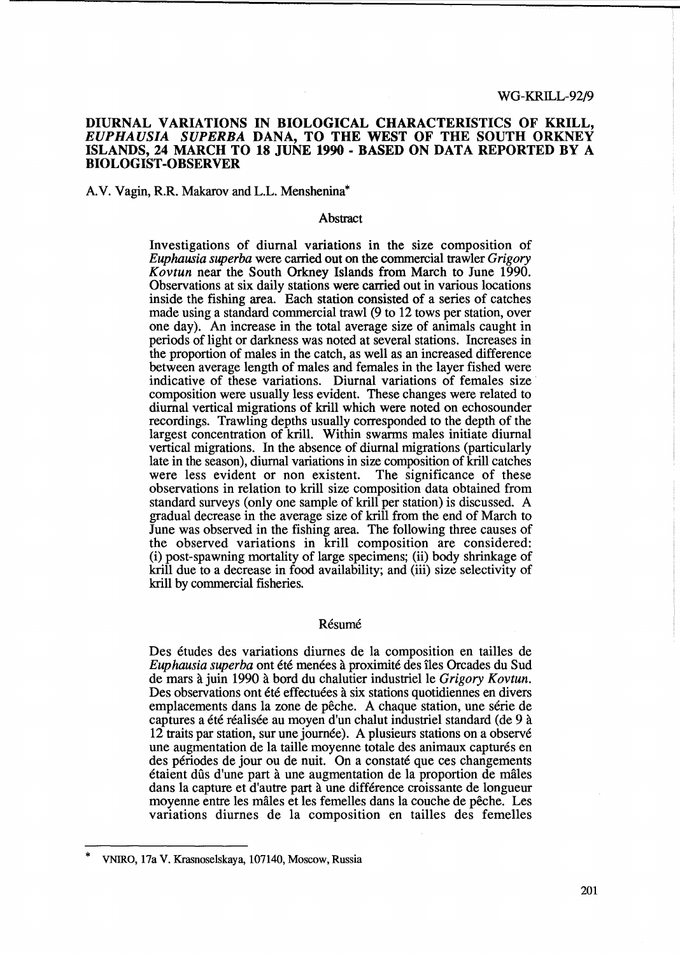# DIURNAL VARIATIONS IN BIOLOGICAL CHARACTERISTICS OF KRILL, *EUPHAUSIA SUPERBA* DANA, TO THE WEST OF THE SOUTH ORKNEY ISLANDS, 24 MARCH TO 18 JUNE 1990 - BASED ON DATA REPORTED BY A BIOLOGIST -OBSERVER

## A.V. Vagin, R.R. Makarov and L.L. Menshenina\*

## Abstract

Investigations of diurnal variations in the size composition of *Euphausia superba* were carried out on the commercial trawler *Grigory Kovtun* near the South Orkney Islands from March to June 1990. Observations at six daily stations were carried out in various locations inside the fishing area. Each station consisted of a series of catches made using a standard commercial trawl (9 to 12 tows per station, over one day). An increase in the total average size of animals caught in periods of light or darkness was noted at several stations. Increases in the proportion of males in the catch, as well as an increased difference between average length of males and females in the layer fished were indicative of these variations. Diurnal variations of females size· composition were usually less evident. These changes were related to diurnal vertical migrations of krill which were noted on echosounder recordings. Trawling depths usually corresponded to the depth of the largest concentration of kriU. Within swarms males initiate diurnal vertical migrations. In the absence of diurnal migrations (particularly late in the season), diurnal variations in size composition of krill catches were less evident or non existent. The significance of these observations in relation to krill size composition data obtained from standard surveys (only one sample of krill per station) is discussed. A gradual decrease in the average size of krill from the end of March to June was observed in the fishing area. The following three causes of the observed variations in krill composition are considered: (i) post-spawning mortality of large specimens; (ii) body shrinkage of krill due to a decrease in food availability; and (iii) size selectivity of krill by commercial fisheries.

## Résumé

Des etudes des variations diurnes de la composition en tailles de *Euphausia superba* ont été menées à proximité des îles Orcades du Sud de mars a juin 1990 a bord du chalutier industrielle *Grigory Kovtun.*  Des observations ont été effectuées à six stations quotidiennes en divers emplacements dans la zone de pêche. A chaque station, une série de captures a été réalisée au moyen d'un chalut industriel standard (de 9 à 12 traits par station, sur une journée). A plusieurs stations on a observé une augmentation de la taille moyenne totale des animaux capturés en des périodes de jour ou de nuit. On a constaté que ces changements etaient dfis d'une part a une augmentation de la proportion de males dans la capture et d'autre part a une difference croissante de longueur moyenne entre les males et les femelles dans la couche de peche. Les variations diurnes de la composition en tailles des femelles

<sup>\*</sup> VNIRO, 17a V. Krasnoselskaya, 107140, Moscow, Russia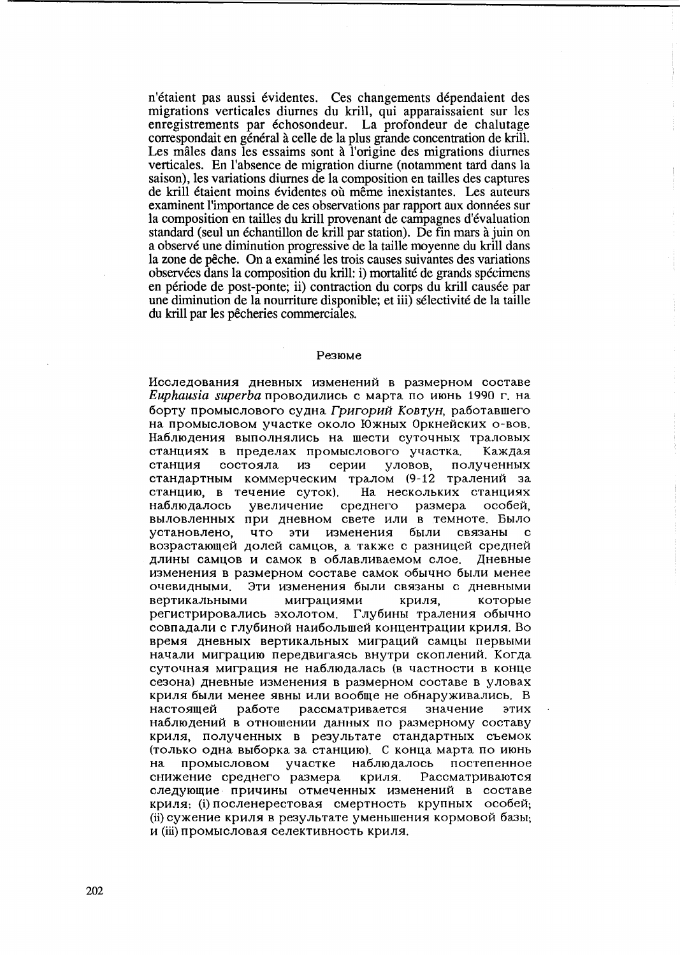n'étaient pas aussi évidentes. Ces changements dépendaient des migrations verticales diurnes du krill, qui apparaissaient sur les enregistrements par échosondeur. La profondeur de chalutage correspondait en général à celle de la plus grande concentration de krill. Les mâles dans les essaims sont à l'origine des migrations diurnes verticales. En l'absence de migration diurne (notamment tard dans la saison), les variations diurnes de la composition en tailles des captures de krill étaient moins évidentes où même inexistantes. Les auteurs examinent l'importance de ces observations par rapport aux données sur la composition en tailles du krill provenant de campagnes d'évaluation standard (seul un échantillon de krill par station). De fin mars à juin on a observé une diminution progressive de la taille movenne du krill dans la zone de pêche. On a examiné les trois causes suivantes des variations observées dans la composition du krill; i) mortalité de grands spécimens en période de post-ponte; ii) contraction du corps du krill causée par une diminution de la nourriture disponible; et iii) sélectivité de la taille du krill par les pêcheries commerciales.

#### Резюме

Исследования дневных изменений в размерном составе Euphausia superba проводились с марта по июнь 1990 г. на борту промыслового судна Григорий Ковтун, работавшего на промысловом участке около Южных Оркнейских о-вов. Наблюдения выполнялись на шести суточных траловых станциях в пределах промыслового участка. Каждая уловов. станция состояла из серии полученных стандартным коммерческим тралом (9-12 тралений за станцию, в течение суток). На нескольких станциях наблюдалось увеличение среднего размера особей. выловленных при дневном свете или в темноте. Было  $\mathbf{c}$ что эти изменения были связаны установлено. возрастающей долей самцов, а также с разницей средней длины самцов и самок в облавливаемом слое. Дневные изменения в размерном составе самок обычно были менее Эти изменения были связаны с дневными очевидными. вертикальными миграциями криля, которые регистрировались эхолотом. Глубины траления обычно совпадали с глубиной наибольшей концентрации криля. Во время дневных вертикальных миграций самцы первыми начали миграцию передвигаясь внутри скоплений. Когда суточная миграция не наблюдалась (в частности в конце сезона) дневные изменения в размерном составе в уловах криля были менее явны или вообще не обнаруживались. В настоящей работе рассматривается значение этих наблюдений в отношении данных по размерному составу криля, полученных в результате стандартных съемок (только одна выборка за станцию). С конца марта по июнь  $HA$ промысловом участке наблюдалось постепенное снижение среднего размера криля. Рассматриваются следующие причины отмеченных изменений в составе криля: (i) посленерестовая смертность крупных особей; (ii) сужение криля в результате уменьшения кормовой базы; и (ії) промысловая селективность криля.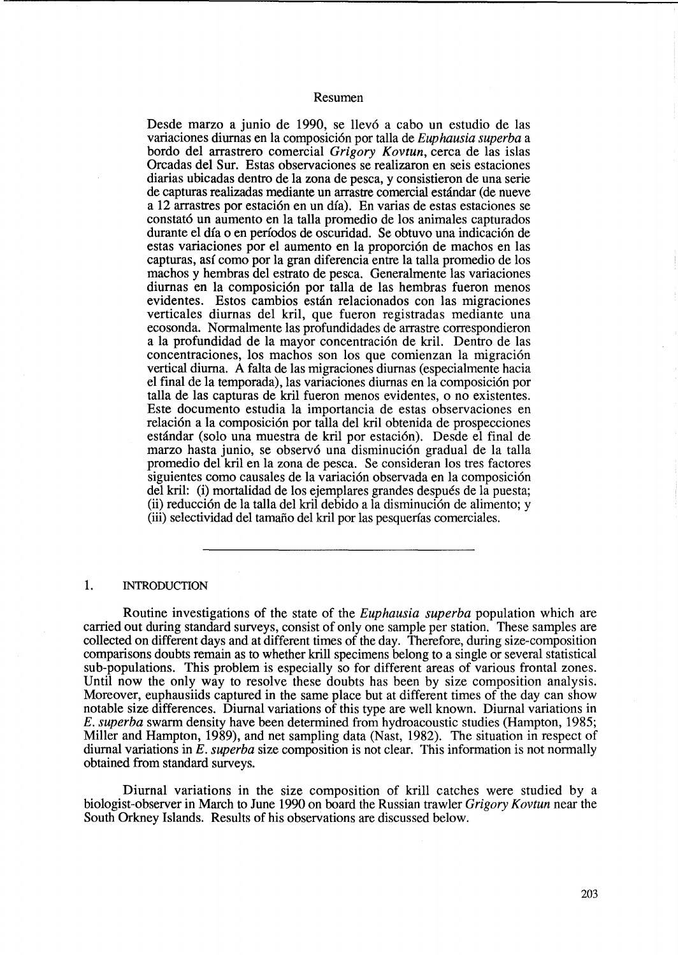## Resumen

Desde marzo a junio de 1990, se llevó a cabo un estudio de las variaciones diurnas en la composici6n por talla de *Euphausia superba* a bordo del arrastrero comercial *Grigory Kovtun,* cerca de las islas Orcadas del Sur. Estas observaciones se realizaron en seis estaciones diarias ubicadas dentro de la zona de pesca, y consistieron de una serie de capturas realizadas mediante un arrastre comercial estandar (de nueve a 12 arrastres por estaci6n en un dia). En varias de estas estaciones se constató un aumento en la talla promedio de los animales capturados durante el día o en períodos de oscuridad. Se obtuvo una indicación de estas variaciones por el aumento en la proporción de machos en las capturas, asi como por la gran diferencia entre la talla promedio de los machos y hembras del eStrato de pesca. Generalmente las variaciones diurnas en la composición por talla de las hembras fueron menos evidentes. Estos cambios estan relacionados con las migraciones verticales diurnas del kril, que fueron registradas mediante una ecosonda. Normalmente las profundidades de arrastre correspondieron a la profundidad de la mayor concentración de kril. Dentro de las concentraciones, los machos son los que comienzan la migración vertical diurna. A falta de las migraciones diurnas (especialmente hacia el final de la temporada), las variaciones diurnas en la composición por talla de las capturas de kril fueron menos evidentes, 0 no existentes. Este documento estudia la importancia de estas observaciones en relación a la composición por talla del kril obtenida de prospecciones estándar (solo una muestra de kril por estación). Desde el final de marzo hasta junio, se observó una disminución gradual de la talla promedio del kril en la zona de pesca. Se consideran los tres factores siguientes como causales de la variación observada en la composición del kril: (i) mortalidad de los ejemplares grandes despues de la puesta; (ii) reducci6n de la talla del kril debido a la disminuci6n de alimento; y (ill) selectividad del tamafio del kril por las pesquerfas comerciales.

#### 1. INTRODUCTION

Routine investigations of the state of the *Euphausia superba* population which are carried out during standard surveys, consist of only one sample per station. These samples are collected on different days and at different times of the day. Therefore, during size-composition comparisons doubts remain as to whether krill specimens belong to a single or several statistical sub-populations. This problem is especially so for different areas of various frontal zones. Until now the only way to resolve these doubts has been by size composition analysis. Moreover, euphausiids captured in the same place but at different times of the day can show notable size differences. Diurnal variations of this type are well known. Diurnal variations in *E. superba* swarm density have been determined from hydroacoustic studies (Hampton, 1985; Miller and Hampton, 1989), and net sampling data (Nast, 1982). The situation in respect of diurnal variations in *E. superba* size composition is not clear. This information is not normally obtained from standard surveys.

Diurnal variations in the size composition of krill catches were studied by a biologist-observer in March to June 1990 on board the Russian trawler *Grigory Kovtun* near the South Orkney Islands. Results of his observations are discussed below.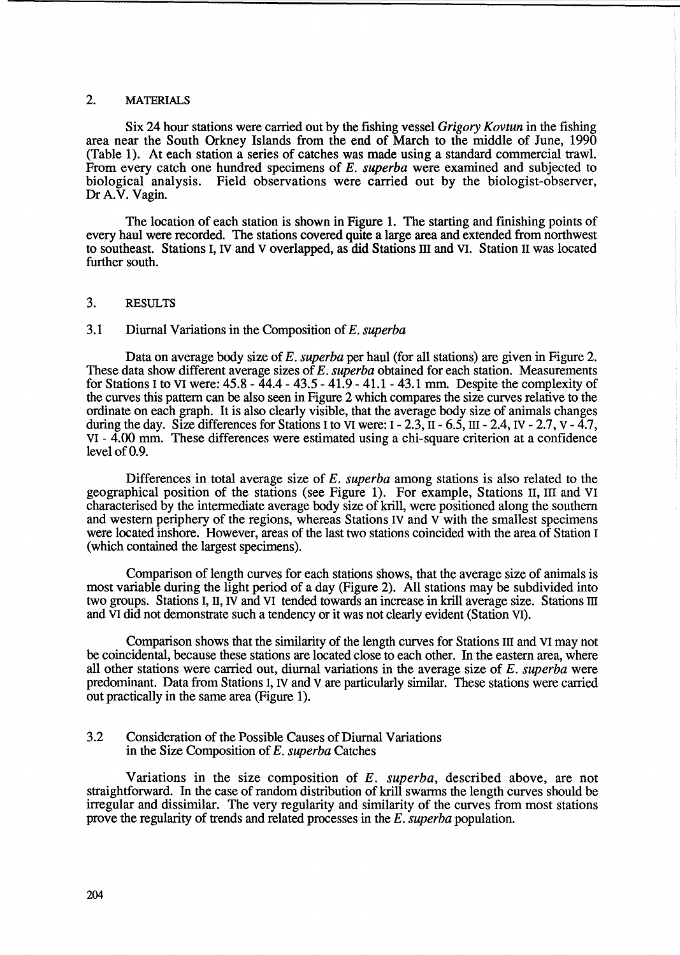# 2. MATERIALS

Six 24 hour stations were carried out by the fishing vessel *Grigory Kovtun* in the fishing area near the South Orkney Islands from the end of March to the middle of June, 1990 (Table 1). At each station a series of catches was made using a standard commercial trawl. From every catch one hundred specimens of E. *superba* were examined and subjected to biological analysis. Field observations were carried out by the biologist-observer, Dr A.V. Vagin.

The location of each station is shown in Figure 1. The starting and finishing points of every haul were recorded. The stations covered quite a large area and extended from northwest to southeast. Stations I, IV and V overlapped, as did Stations III and VI. Station H was located further south.

## 3. RESULTS

# 3.1 Diurnal Variations in the Composition of *E. superba*

Data on average body size of *E. superba* per haul (for all stations) are given in Figure 2. These data show different average sizes of *E. superba* obtained for each station. Measurements for Stations I to VI were: 45.8 - 44.4 - 43.5 - 41.9 - 41.1- 43.1 mm. Despite the complexity of the curves this pattern can be also seen in Figure 2 which compares the size curves relative to the ordinate on each graph. It is also clearly visible, that the average body size of animals changes during the day. Size differences for Stations I to VI were:  $I - 2.3$ ,  $II - 6.5$ ,  $III - 2.4$ ,  $IV - 2.7$ ,  $V - 4.7$ , VI - 4.00 mm. These differences were estimated using a chi-square criterion at a confidence level of 0.9.

Differences in total average size of *E. superba* among stations is also related to the geographical position of the stations (see Figure 1). For example, Stations H, III and VI characterised by the intermediate average body size of krill, were positioned along the southern and western periphery of the regions, whereas Stations IV and V with the smallest specimens were located inshore. However, areas of the last two stations coincided with the area of Station I (which contained the largest specimens).

Comparison of length curves for each stations shows, that the average size of animals is most variable during the light period of a day (Figure 2). All stations may be subdivided into two groups. Stations I, II, IV and VI tended towards an increase in krill average size. Stations III and VI did not demonstrate such a tendency or it was not clearly evident (Station VI).

Comparison shows that the similarity of the length curves for Stations III and VI may not be coincidental, because these stations are located close to each other. In the eastern area, where all other stations were carried out, diurnal variations in the average size of *E. superba* were predominant. Data from Stations I, IV and V are particularly similar. These stations were carried out practically in the same area (Figure 1).

## 3.2 Consideration of the Possible Causes of Diurnal Variations in the Size Composition of *E. superba* Catches

Variations in the size composition of *E. superba,* described above, are not straightforward. In the case of random distribution of krill swarms the length curves should be irregular and dissimilar. The very regularity and similarity of the curves from most stations prove the regularity of trends and related processes in the *E. superba* population.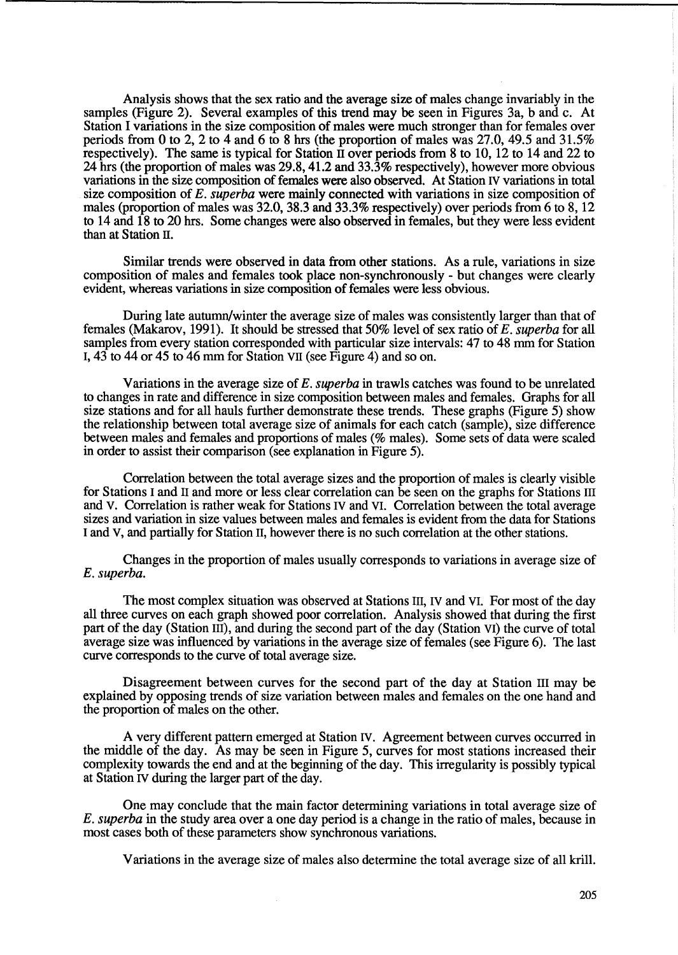Analysis shows that the sex ratio and the average size of males change invariably in the samples (Figure 2). Several examples of this trend may be seen in Figures 3a, b and c. At Station I variations in the size composition of males were much stronger than for females over periods from 0 to 2, 2 to 4 and 6 to 8 hrs (the proportion of males was 27.0, 49.5 and 31.5%) respectively). The same is typical for Station  $\overline{\mathbf{l}}$  over periods from 8 to 10, 12 to 14 and 22 to 24 hrs (the proportion of males was 29.8, 41.2 and 33.3% respectively), however more obvious variations in the size composition of females were also observed. At Station IV variations in total size composition of *E. superba* were mainly connected with variations in size composition of males (proportion of males was 32.0, 38.3 and 33.3% respectively) over periods from 6 to 8, 12 to 14 and 18 to 20 hrs. Some changes were also observed in females, but they were less evident than at Station II.

Similar trends were observed in data from other stations. As a rule, variations in size composition of males and females took place non-synchronously - but changes were clearly evident, whereas variations in size composition of females were less obvious.

During late autumn/winter the average size of males was consistently larger than that of females (Makarov, 1991). It should be stressed that 50% level of sex ratio of *E. superba* for all samples from every station corresponded with particular size intervals: 47 to 48 mm for Station I, 43 to 44 or 45 to 46 mm for Station VII (see Figure 4) and so on.

Variations in the average size of *E. superba* in trawls catches was found to be unrelated to changes in rate and difference in size composition between males and females. Graphs for all size stations and for all hauls further demonstrate these trends. These graphs (Figure 5) show the relationship between total average size of animals for each catch (sample), size difference between males and females and proportions of males (% males). Some sets of data were scaled in order to assist their comparison (see explanation in Figure 5).

Correlation between the total average sizes and the proportion of males is clearly visible for Stations I and 11 and more or less clear correlation can be seen on the graphs for Stations III and V. Correlation is rather weak for Stations IV and VI. Correlation between the total average sizes and variation in size values between males and females is evident from the data for Stations I and V, and partially for Station 11, however there is no such correlation at the other stations.

Changes in the proportion of males usually corresponds to variations in average size of *E. superba.* 

The most complex situation was observed at Stations III, IV and VI. For most of the day all three curves on each graph showed poor correlation. Analysis showed that during the first part of the day (Station III), and during the second part of the day (Station VI) the curve of total average size was influenced by variations in the average size of females (see Figure 6). The last curve corresponds to the curve of total average size.

Disagreement between curves for the second part of the day at Station III may be explained by opposing trends of size variation between males and females on the one hand and the proportion of males on the other.

A very different pattern emerged at Station IV. Agreement between curves occurred in the middle of the day. As may be seen in Figure 5, curves for most stations increased their complexity towards the end and at the beginning of the day. This irregularity is possibly typical at Station IV during the larger part of the day.

One may conclude that the main factor determining variations in total average size of *E. superba* in the study area over a one day period is a change in the ratio of males, because in most cases both of these parameters show synchronous variations.

Variations in the average size of males also determine the total average size of all krill.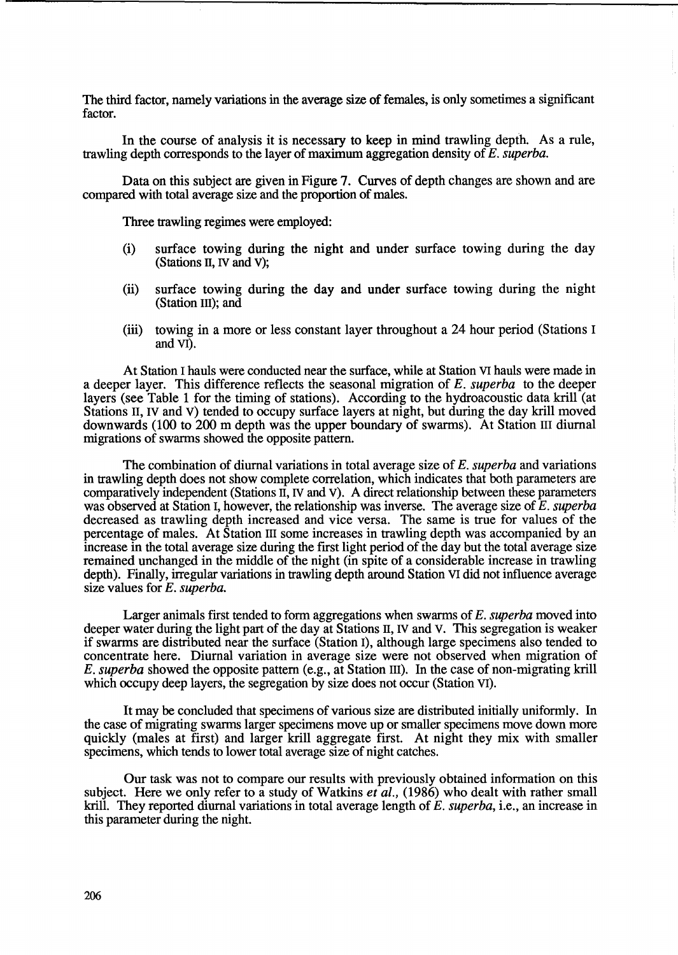The third factor, namely variations in the average size of females, is only sometimes a significant factor.

In the course of analysis it is necessary to keep in mind trawling depth. As a rule, trawling depth corresponds to the layer of maximum aggregation density of E. *superba.* 

Data on this subject are given in Figure 7. Curves of depth changes are shown and are compared with total average size and the proportion of males.

Three trawling regimes were employed:

- (i) surface towing during the night and under surface towing during the day (Stations II, IV and V);
- (ii) surface towing during the day and under surface towing during the night (Station III); and
- (iii) towing in a more or less constant layer throughout a 24 hour period (Stations I and VI).

At Station I hauls were conducted near the surface, while at Station VI hauls were made in a deeper layer. This difference reflects the seasonal migration of *E. superba* to the deeper layers (see Table 1 for the timing of stations). According to the hydroacoustic data krill (at Stations II, IV and V) tended to occupy surface layers at night, but during the day krill moved downwards (100 to 200 m depth was the upper boundary of swarms). At Station III diurnal migrations of swarms showed the opposite pattern.

The combination of diurnal variations in total average size of *E. superba* and variations in trawling depth does not show complete correlation, which indicates that both parameters are comparatively independent (Stations II, IV and V). A direct relationship between these parameters was observed at Station I, however, the relationship was inverse. The average size of E. *superba*  decreased as trawling depth increased and vice versa. The same is true for values of the percentage of males. At Station III some increases in trawling depth was accompanied by an increase in the total average size during the first light period of the day but the total average size remained unchanged in the middle of the night (in spite of a considerable increase in trawling depth). Finally, irregular variations in trawling depth around Station VI did not influence average size values for E. *superba.* 

Larger animals first tended to form aggregations when swarms of E. *superba* moved into deeper water during the light part of the day at Stations II, IV and V. This segregation is weaker if swarms are distributed near the surface (Station I), although large specimens also tended to concentrate here. Diurnal variation in average size were not observed when migration of *E. superba* showed the opposite pattern (e.g., at Station Ill). In the case of non-migrating krill which occupy deep layers, the segregation by size does not occur (Station VI).

It may be concluded that specimens of various size are distributed initially uniformly. In the case of migrating swarms larger specimens move up or smaller specimens move down more quickly (males at first) and larger kriU aggregate first. At night they mix with smaller specimens, which tends to lower total average size of night catches.

Our task was not to compare our results with previously obtained information on this subject. Here we only refer to a study of Watkins *et al.,* (1986) who dealt with rather small kriU. They reported diurnal variations in total average length of E. *superba,* i.e., an increase in this parameter during the night.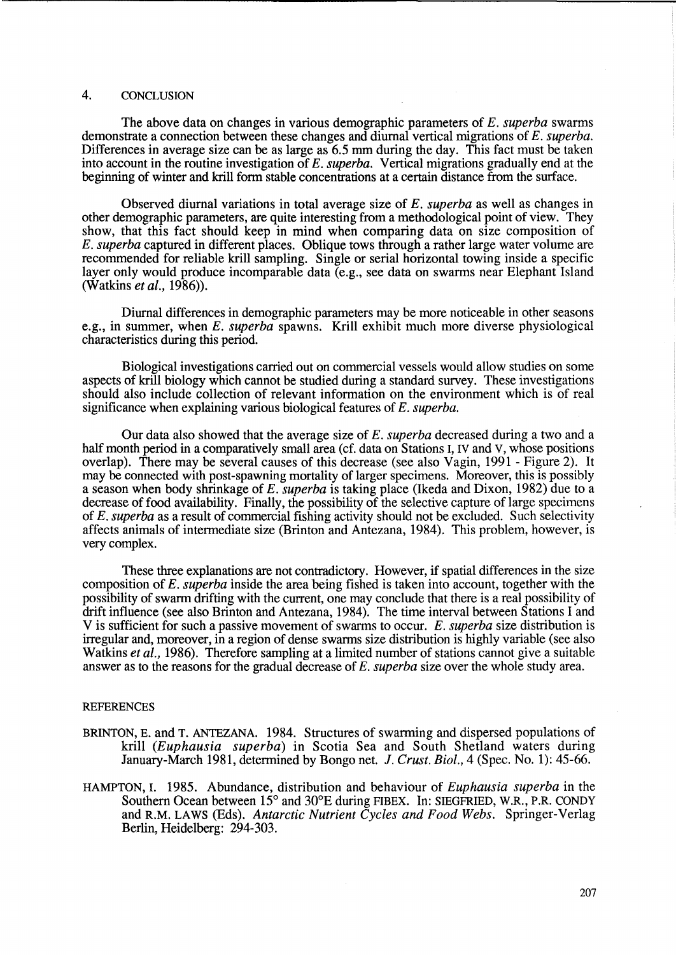# 4. CONCLUSION

The above data on changes in various demographic parameters of *E. superba* swarms demonstrate a connection between these changes and diurnal vertical migrations of *E. superba.*  Differences in average size can be as large as 6.5 mm during the day. This fact must be taken into account in the routine investigation of *E. superba.* Vertical migrations gradually end at the beginning of winter and krill form stable concentrations at a certain distance from the surface.

Observed diurnal variations in total average size of *E. superba* as well as changes in other demographic parameters, are quite interesting from a methodological point of view. They show, that this fact should keep in mind when comparing data on size composition of E. *superba* captured in different places. Oblique tows through a rather large water volume are recommended for reliable krill sampling. Single or serial horizontal towing inside a specific layer only would produce incomparable data (e.g., see data on swarms near Elephant Island (Watkins *et al., 1986».* 

Diurnal differences in demographic parameters may be more noticeable in other seasons e.g., in summer, when *E. superba* spawns. Krill exhibit much more diverse physiological characteristics during this period.

Biological investigations carried out on commercial vessels would allow studies on some aspects of krill biology which cannot be studied during a standard survey. These investigations should also include collection of relevant information on the environment which is of real significance when explaining various biological features of *E. superba.* 

Our data also showed that the average size of *E. superba* decreased during a two and a half month period in a comparatively small area (cf. data on Stations I, IV and V, whose positions overlap). There may be several causes of this decrease (see also Vagin, 1991 - Figure 2). It may be connected with post-spawning mortality of larger specimens. Moreover, this is possibly a season when body shrinkage of *E. superba* is taking place (Ikeda and Dixon, 1982) due to a decrease of food availability. Finally, the possibility of the selective capture of large specimens of E. *superba* as a result of commercial fishing activity should not be excluded. Such selectivity affects animals of intermediate size (Brinton and Antezana, 1984). This problem, however, is very complex.

These three explanations are not contradictory. However, if spatial differences in the size composition of E. *superba* inside the area being fished is taken into account, together with the possibility of swarm drifting with the current, one may conclude that there is a real possibility of drift influence (see also Brinton and Antezana, 1984). The time interval between Stations I and V is sufficient for such a passive movement of swarms to occur. *E. superba* size distribution is irregular and, moreover, in a region of dense swarms size distribution is highly variable (see also Watkins *et al.,* 1986). Therefore sampling at a limited number of stations cannot give a suitable answer as to the reasons for the gradual decrease of *E. superba* size over the whole study area.

## **REFERENCES**

- BRINTON, E. and T. ANTEZANA. 1984. Structures of swarming and dispersed populations of krill *(Euphausia superba)* in Scotia Sea and South Shetland waters during January-March 1981, determined by Bongo net. *1. Crust. Bioi.,* 4 (Spec. No. 1): 45-66.
- HAMPTON, I. 1985. Abundance, distribution and behaviour of *Euphausia superba* in the Southern Ocean between 15<sup>°</sup> and 30<sup>°</sup>E during FIBEX. In: SIEGFRIED, W.R., P.R. CONDY and R.M. LAWS (Eds). *Antarctic Nutrient Cycles and Food Webs.* Springer-Verlag Berlin, Heidelberg: 294-303.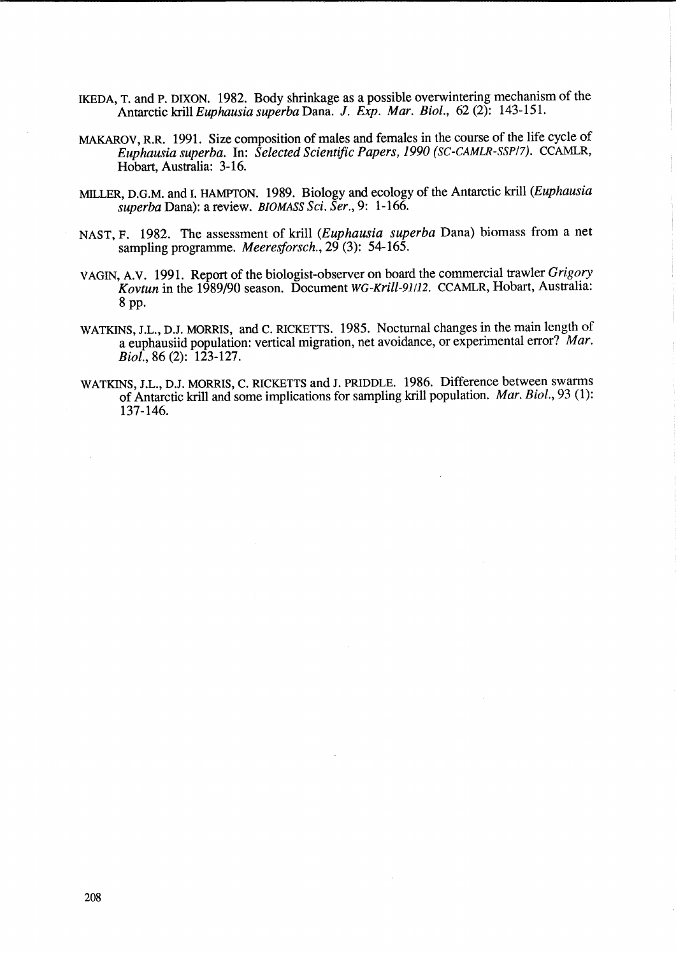- IKEDA, T. and P. DIXON. 1982. Body shrinkage as a possible overwintering mechanism of the Antarctic kriU *Euphausia superba* Dana. *1. Exp. Mar. Bioi.,* 62 (2): 143-151.
- MAKAROV, R.R. 1991. Size composition of males and females in the course of the life cycle of *Euphausia superba.* In: *Selected Scientific Papers,* 1990 *(SC-CAMLR-SSP/7).* CCAMLR, Hobart, Australia: 3-16.
- MILLER, D.G.M. and I. *HAMPTON.* 1989. Biology and ecology of the Antarctic kriU *(Euphausia superba* Dana): a review. *BIOMASS Sci. Ser.,* 9: 1-166.
- NAST, F. 1982. The assessment of krill *(Euphausia superba* Dana) biomass from a net sampling programme. *Meeresforsch.,* 29 (3): 54-165.
- VAGIN, A.V. 1991. Report of the biologist-observer on board the commercial trawler *Grigory Kovtun* in the 1989/90 season. Document *WG-Krill-91/12.* CCAMLR, Hobart, Australia: 8 pp.
- WATKINS, J.L., D.J. MORRIS, and C. RICKETTS. 1985. Nocturnal changes in the main length of a euphausiid population: vertical migration, net avoidance, or experimental error? *Mar. Biol.*, 86 (2): 123-127.
- WATKINS, J.L., D.J. MORRIS, C. RICKETTS and J. PRIDDLE. 1986. Difference between swarms of Antarctic kriU and some implications for sampling krill population. *Mar. Bioi.,* 93 (1): 137-146.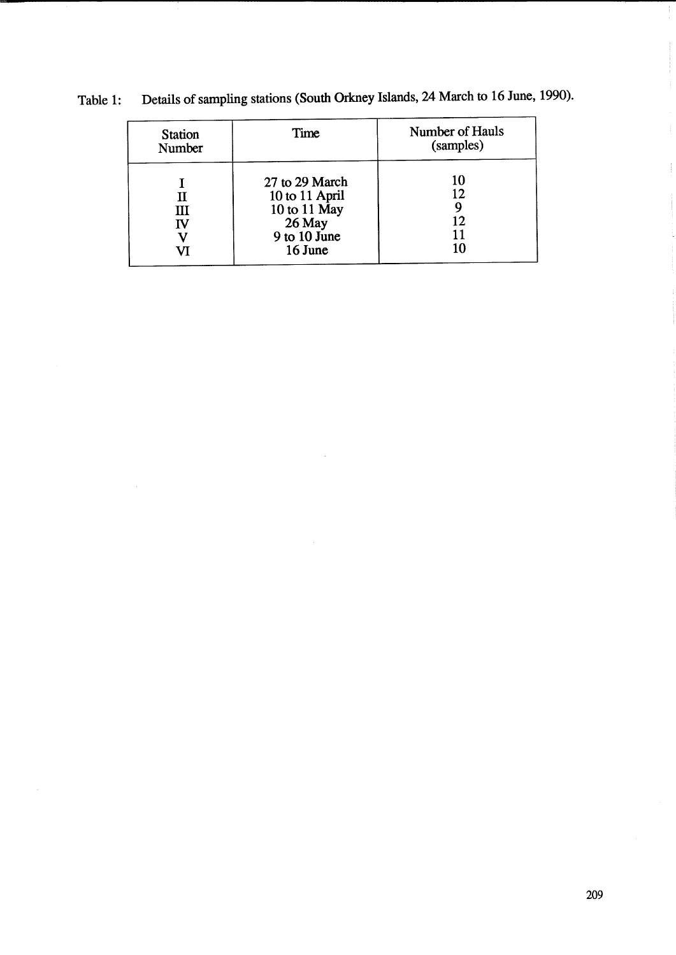| <b>Station</b><br>Number | Time                                                                                               | Number of Hauls<br>(samples) |
|--------------------------|----------------------------------------------------------------------------------------------------|------------------------------|
| П<br>Ш<br>IV             | 27 to 29 March<br>10 to 11 April<br>10 to 11 $\overline{May}$<br>26 May<br>9 to 10 June<br>16 June | 10<br>12<br>12.<br>10        |

Table 1: Details of sampling stations (South Orkney Islands, 24 March to 16 June, 1990).

 $\mathbb{F}$ 

Ť

÷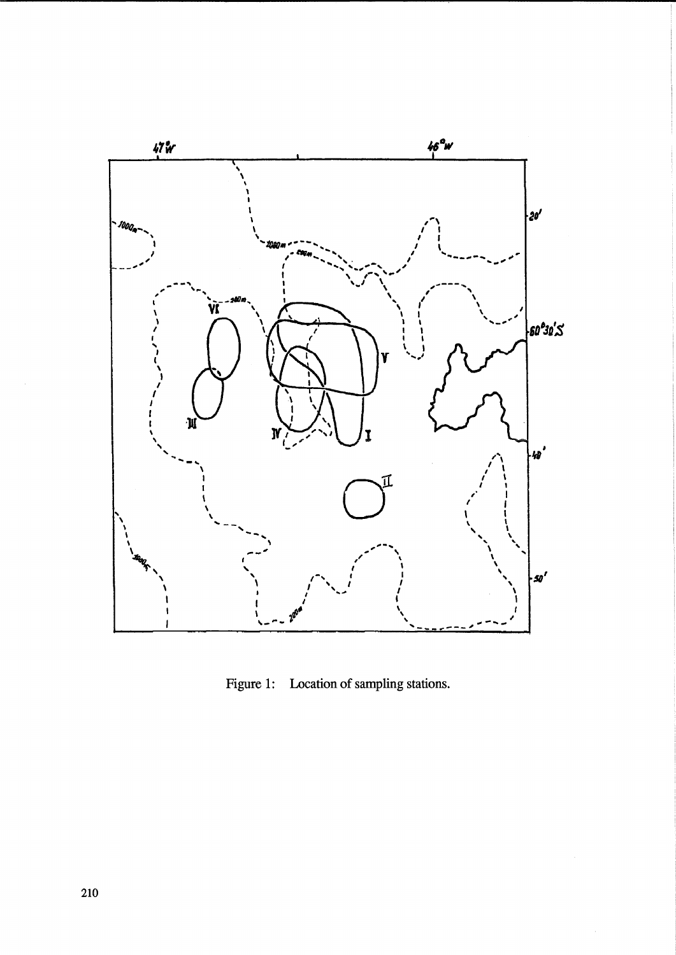

Figure 1: Location of sampling stations.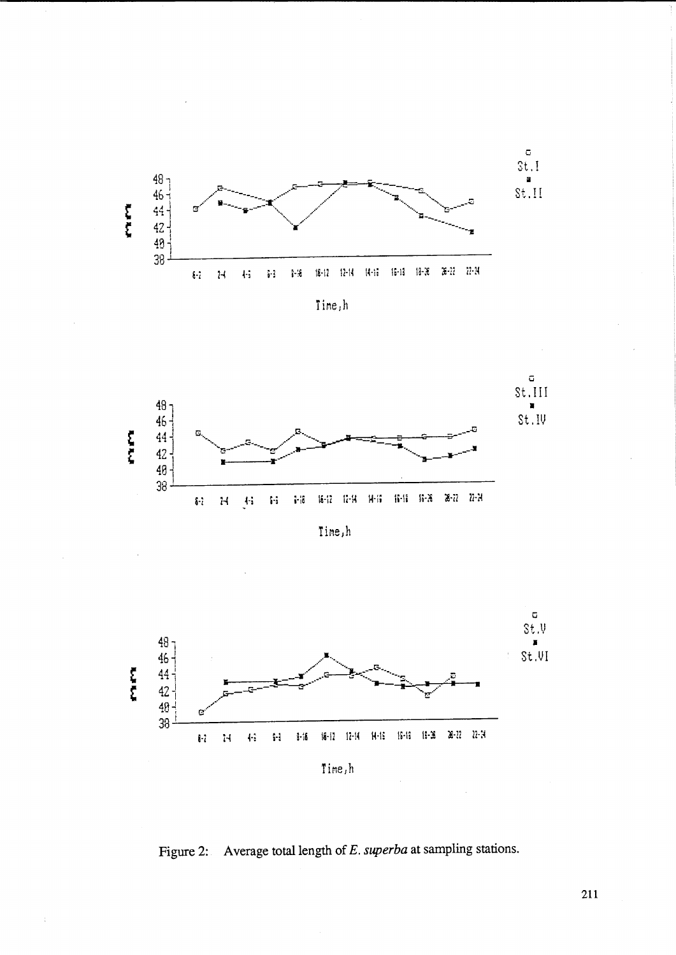

Time,h



Time,h



Figure 2: Average total length of E. superba at sampling stations.

 $\Delta$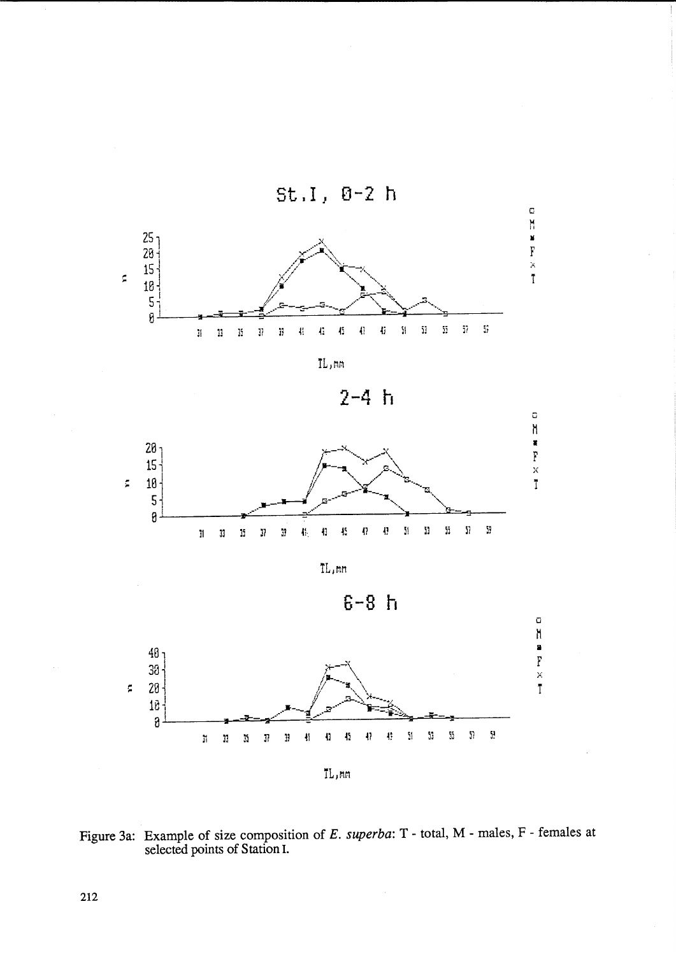



 $2 - 4 h$ 



TL, mm





Figure 3a: Example of size composition of E. superba: T - total, M - males, F - females at selected points of Station I.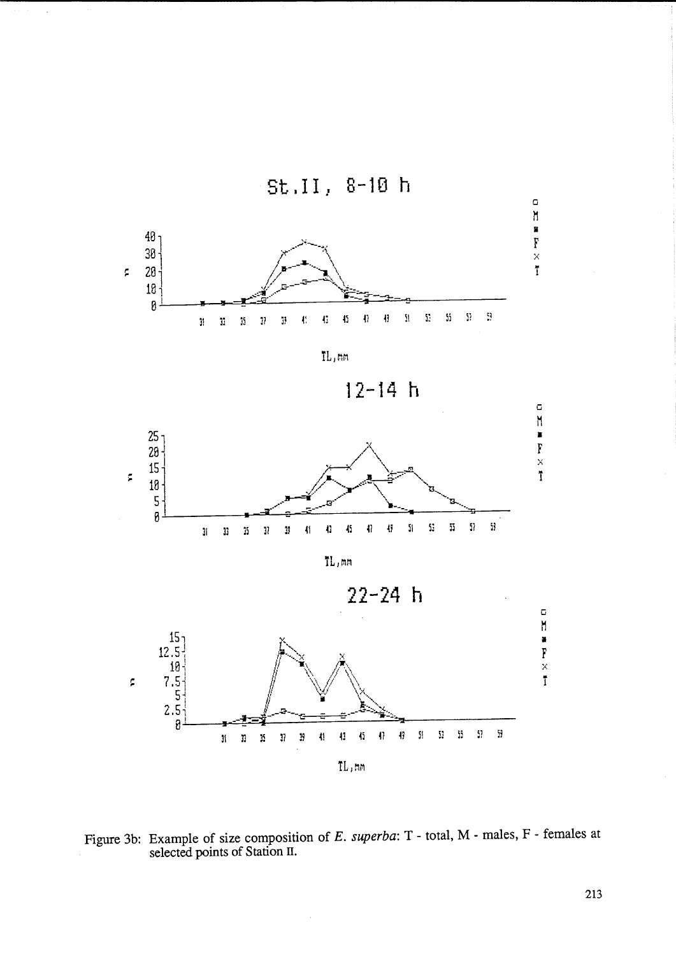

Figure 3b: Example of size composition of E. superba: T - total, M - males, F - females at selected points of Station II.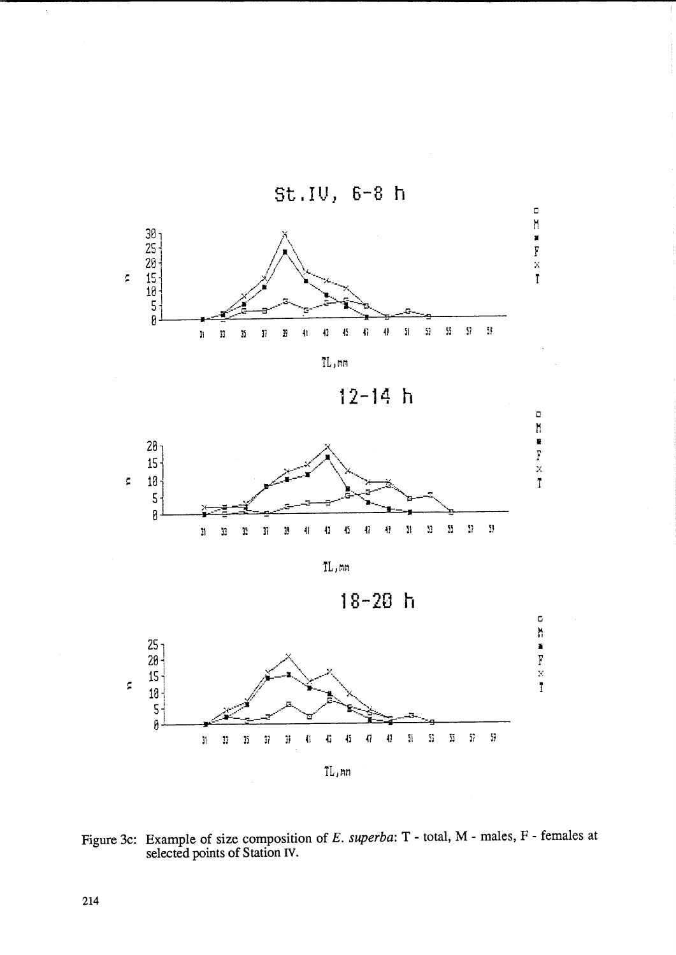

**12-14 h** 



 $\operatorname{TL}$ , mm





Figure 3c: Example of size composition of *E. superba:* T - total, M - males, F - females at selected points of Station IV.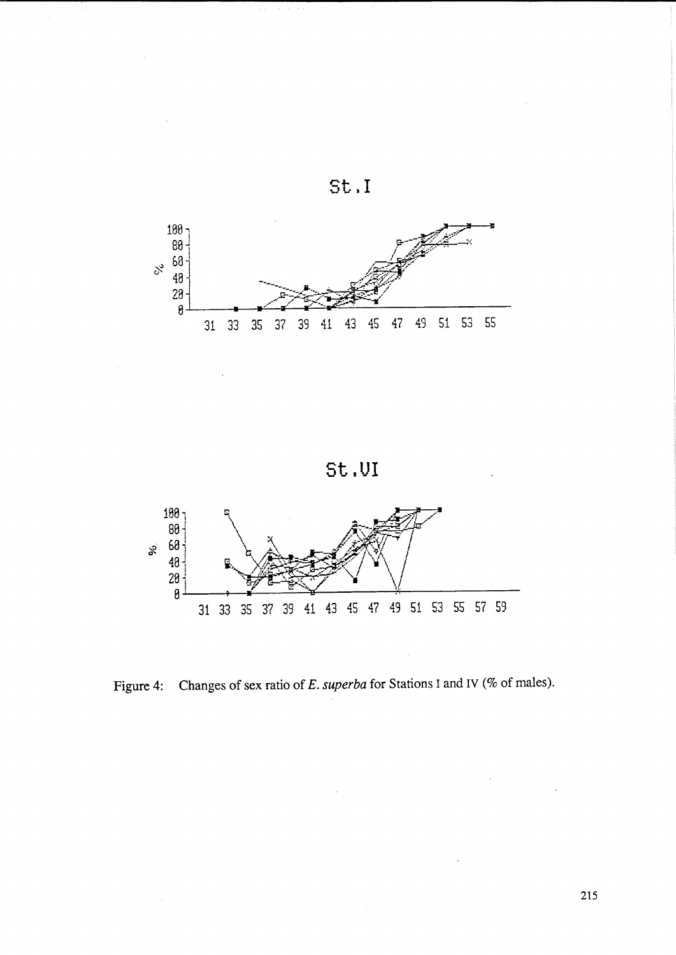

**st. <sup>I</sup>**

**St.UI** 



Figure 4: Changes of sex ratio of *E. superba* for Stations I and IV (% of males).

 $\bar{\bar{z}}$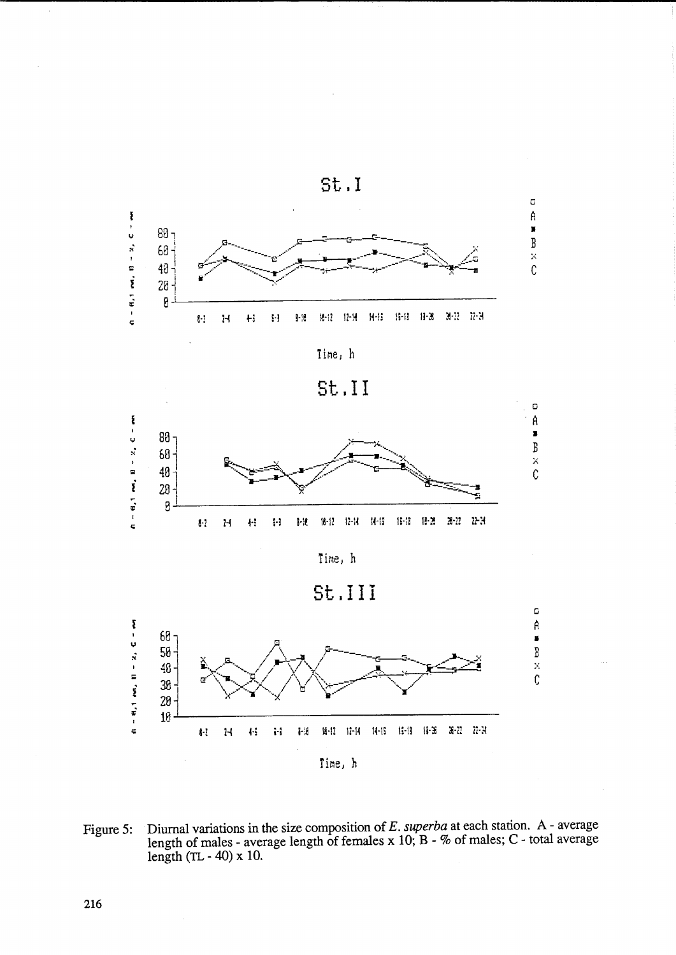







Time, h





Diurnal variations in the size composition of  $E$ . *superba* at each station. A - average length of males - average length of females x 10; B - % of males; C - total average Figure 5: length  $(TL - 40)$  x 10.

 $\bar{\beta}$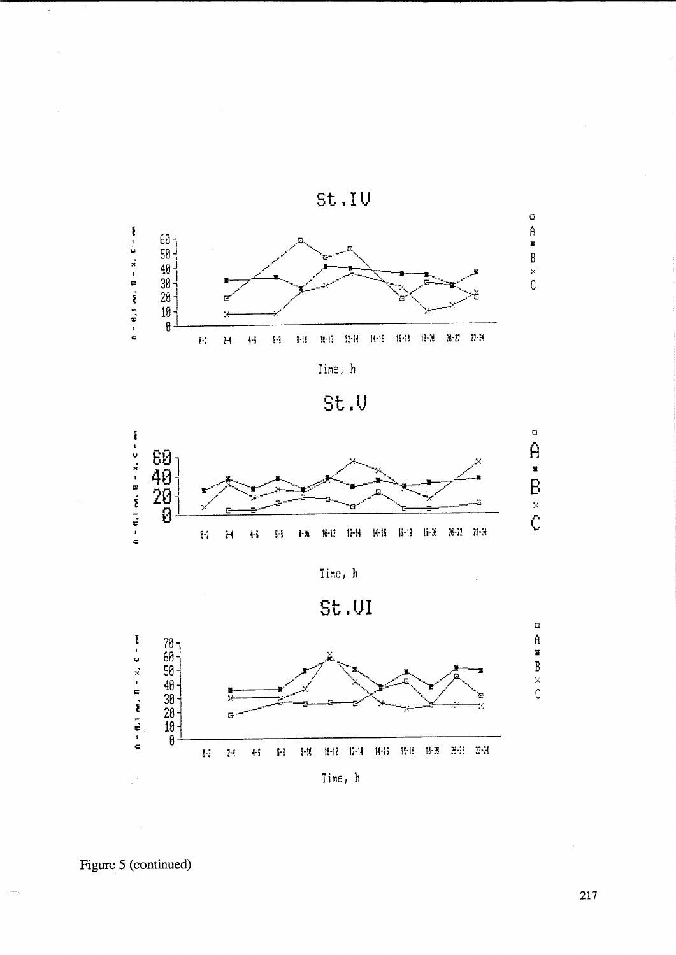







Time, h





Figure 5 (continued)

 $\hat{\mathcal{A}}$ 

217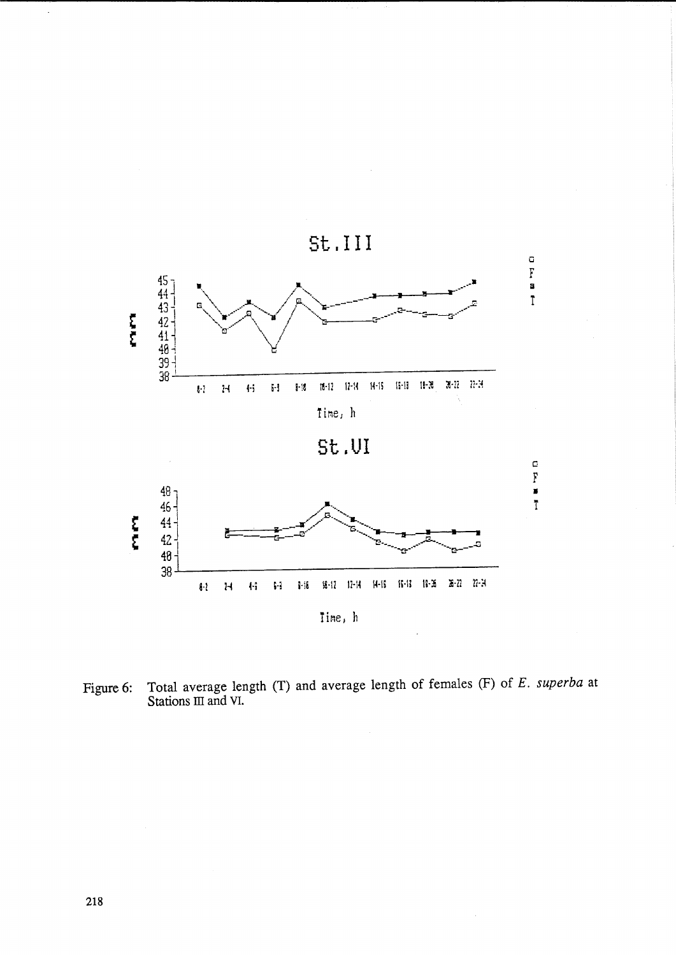

Total average length (T) and average length of females (F) of  $E$ . superba at Stations III and VI. Figure 6:

 $\bar{z}$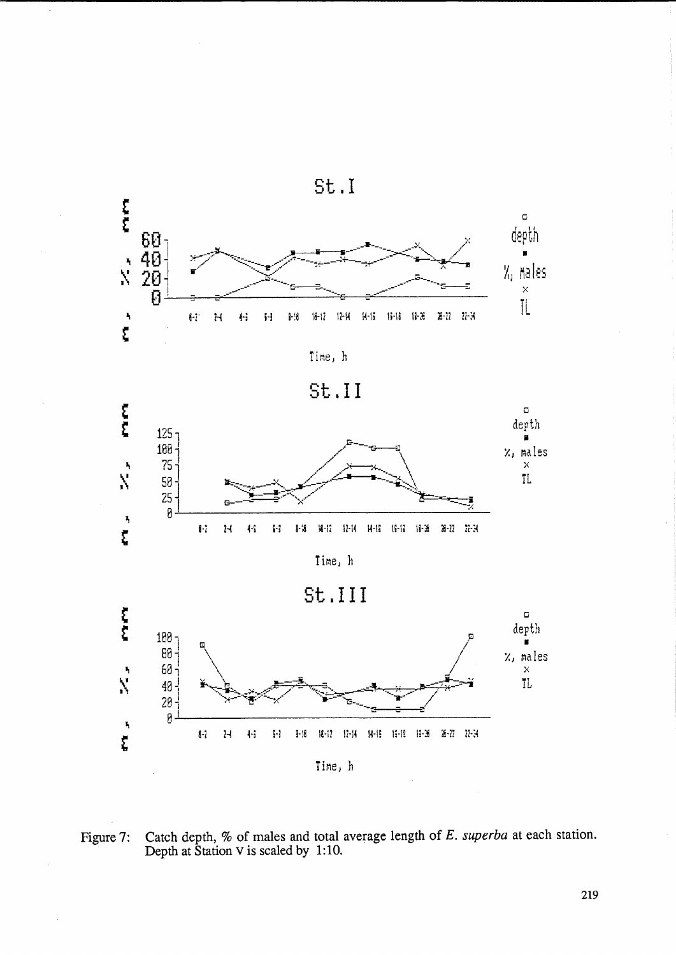













Catch depth, % of males and total average length of  $E$ . *superba* at each station.<br>Depth at Station V is scaled by 1:10. Figure 7: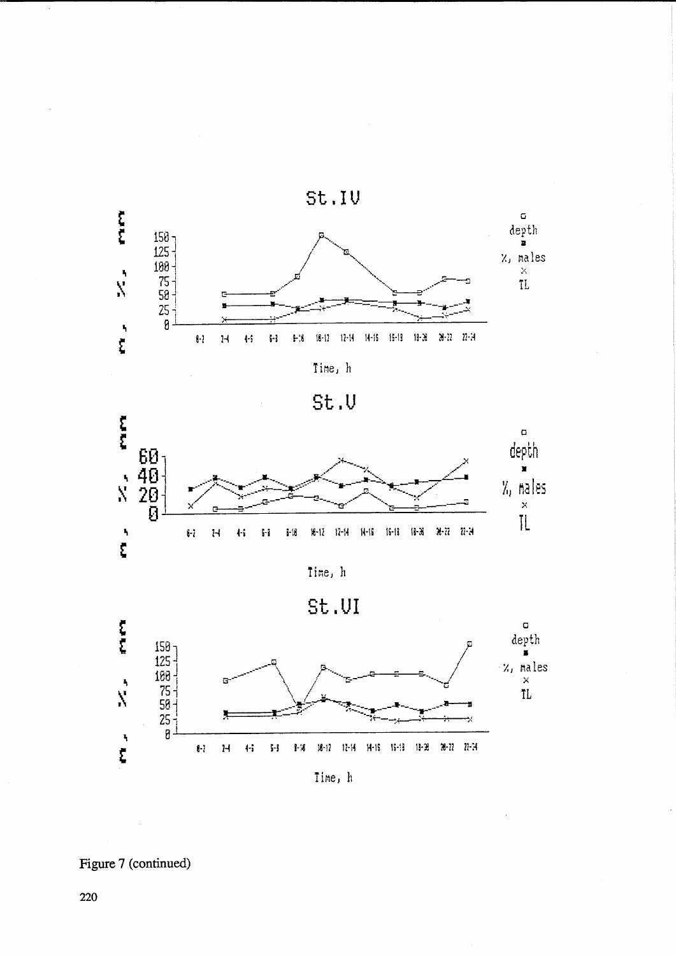







Time, h

St.UI



Figure 7 (continued)

 $\overline{\cdot}$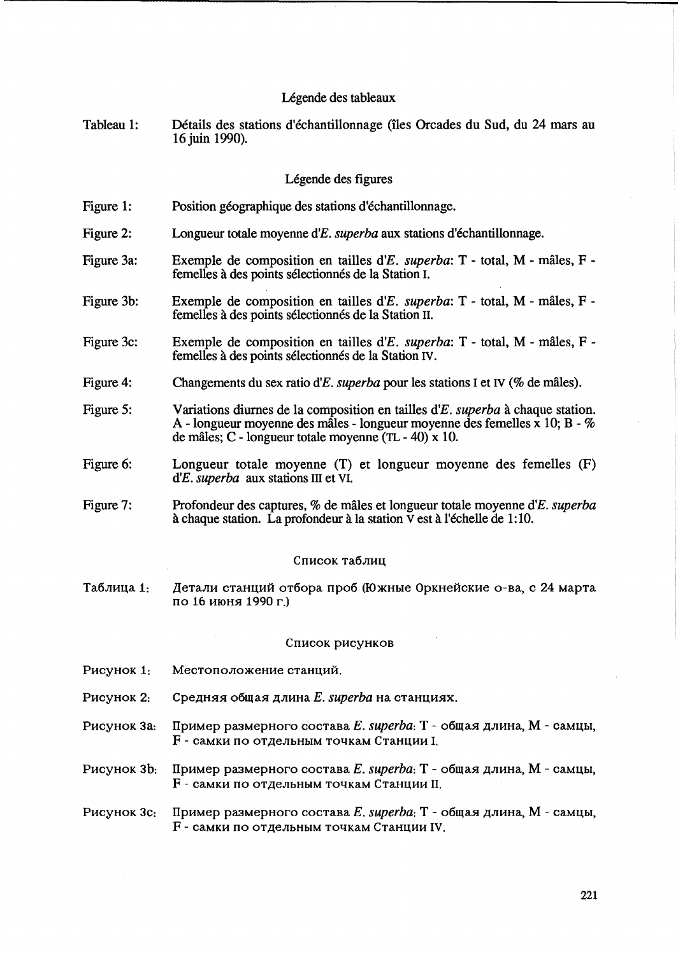# Légende des tableaux

Tableau 1: Détails des stations d'échantillonnage (îles Orcades du Sud, du 24 mars au 16 juin 1990).

# Legende des figures

- Figure 1: Position géographique des stations d'échantillonnage.
- Figure 2: Longueur totale moyenne *d'E. superba* aux stations d'echantillonnage.
- Figure 3a: Exemple de composition en tailles *d'E. superba:* T - total, M - males, F femelles à des points sélectionnés de la Station I.
- Figure 3b: Exemple de composition en tailles *d'E. superba:* T - total, M - males, F femelles à des points sélectionnés de la Station II.
- Figure 3c: Exemple de composition en tailles *d'E. superba:* T - total, M - males, F femelles à des points sélectionnés de la Station IV.
- Figure 4: Changements du sex ratio *d'E. superba* pour les stations I et IV (% de males).
- Figure 5: Variations diurnes de la composition en tailles d'E. superba à chaque station. A - longueur moyenne des mâles - longueur moyenne des femelles  $\bar{x}$  10; B - % de males; C - longueur totale moyenne (TL - 40) x 10.
- Figure 6: Longueur totale moyenne (T) et longueur moyenne des femelles (F) d'E. *superba* aux stations III et VI.
- Figure 7: Profondeur des captures, % de miiles et longueur totale moyenne *d'E. superba*  à chaque station. La profondeur à la station  $\bar{V}$  est à l'échelle de 1:10.

#### Список таблиц

Таблица 1: Детали станций отбора проб (Южные Оркнейские о-ва, с 24 марта по 16 июня 1990 г.)

#### Список рисунков

- Рисунок 1: Местоположение станций.
- Pисунок 2: Средняя общая длина *E. superba* на станциях.
- Pисунок 3a: Пример размерного состава *E. superba*: T общая длина, M самцы,  $F$  - самки по отдельным точкам Станции I.
- Pисунок 3b: Пример размерного состава *E. superba*: T общая длина, M самцы, F - самки по отдельным точкам Станции II.

# Pисунок 3c: Пример размерного состава *E. superba*:  $T$  - общая длина, M - самцы, F - самки по отдельным точкам Станции IV.